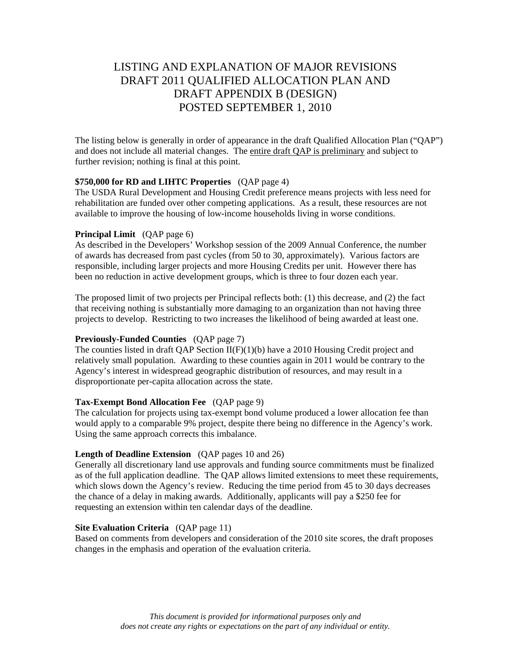# LISTING AND EXPLANATION OF MAJOR REVISIONS DRAFT 2011 QUALIFIED ALLOCATION PLAN AND DRAFT APPENDIX B (DESIGN) POSTED SEPTEMBER 1, 2010

The listing below is generally in order of appearance in the draft Qualified Allocation Plan ("QAP") and does not include all material changes. The entire draft QAP is preliminary and subject to further revision; nothing is final at this point.

## **\$750,000 for RD and LIHTC Properties** (QAP page 4)

The USDA Rural Development and Housing Credit preference means projects with less need for rehabilitation are funded over other competing applications. As a result, these resources are not available to improve the housing of low-income households living in worse conditions.

## **Principal Limit** (QAP page 6)

As described in the Developers' Workshop session of the 2009 Annual Conference, the number of awards has decreased from past cycles (from 50 to 30, approximately). Various factors are responsible, including larger projects and more Housing Credits per unit. However there has been no reduction in active development groups, which is three to four dozen each year.

The proposed limit of two projects per Principal reflects both: (1) this decrease, and (2) the fact that receiving nothing is substantially more damaging to an organization than not having three projects to develop. Restricting to two increases the likelihood of being awarded at least one.

## **Previously-Funded Counties** (QAP page 7)

The counties listed in draft QAP Section II(F)(1)(b) have a 2010 Housing Credit project and relatively small population. Awarding to these counties again in 2011 would be contrary to the Agency's interest in widespread geographic distribution of resources, and may result in a disproportionate per-capita allocation across the state.

## **Tax-Exempt Bond Allocation Fee** (QAP page 9)

The calculation for projects using tax-exempt bond volume produced a lower allocation fee than would apply to a comparable 9% project, despite there being no difference in the Agency's work. Using the same approach corrects this imbalance.

## **Length of Deadline Extension** (QAP pages 10 and 26)

Generally all discretionary land use approvals and funding source commitments must be finalized as of the full application deadline. The QAP allows limited extensions to meet these requirements, which slows down the Agency's review. Reducing the time period from 45 to 30 days decreases the chance of a delay in making awards. Additionally, applicants will pay a \$250 fee for requesting an extension within ten calendar days of the deadline.

## **Site Evaluation Criteria** (QAP page 11)

Based on comments from developers and consideration of the 2010 site scores, the draft proposes changes in the emphasis and operation of the evaluation criteria.